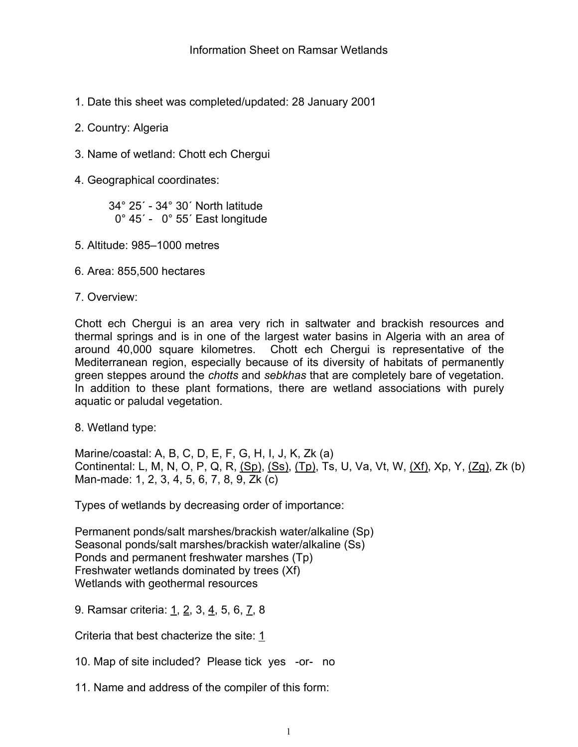- 1. Date this sheet was completed/updated: 28 January 2001
- 2. Country: Algeria
- 3. Name of wetland: Chott ech Chergui
- 4. Geographical coordinates:

34° 25´ - 34° 30´ North latitude 0° 45´ - 0° 55´ East longitude

- 5. Altitude: 985–1000 metres
- 6. Area: 855,500 hectares
- 7. Overview:

Chott ech Chergui is an area very rich in saltwater and brackish resources and thermal springs and is in one of the largest water basins in Algeria with an area of around 40,000 square kilometres. Chott ech Chergui is representative of the Mediterranean region, especially because of its diversity of habitats of permanently green steppes around the *chotts* and *sebkhas* that are completely bare of vegetation. In addition to these plant formations, there are wetland associations with purely aquatic or paludal vegetation.

8. Wetland type:

Marine/coastal: A, B, C, D, E, F, G, H, I, J, K, Zk (a) Continental: L, M, N, O, P, Q, R, (Sp), (Ss), (Tp), Ts, U, Va, Vt, W, (Xf), Xp, Y, (Zg), Zk (b) Man-made: 1, 2, 3, 4, 5, 6, 7, 8, 9, Zk (c)

Types of wetlands by decreasing order of importance:

Permanent ponds/salt marshes/brackish water/alkaline (Sp) Seasonal ponds/salt marshes/brackish water/alkaline (Ss) Ponds and permanent freshwater marshes (Tp) Freshwater wetlands dominated by trees (Xf) Wetlands with geothermal resources

9. Ramsar criteria: 1, 2, 3, 4, 5, 6, 7, 8

Criteria that best chacterize the site: 1

10. Map of site included? Please tick yes -or- no

11. Name and address of the compiler of this form: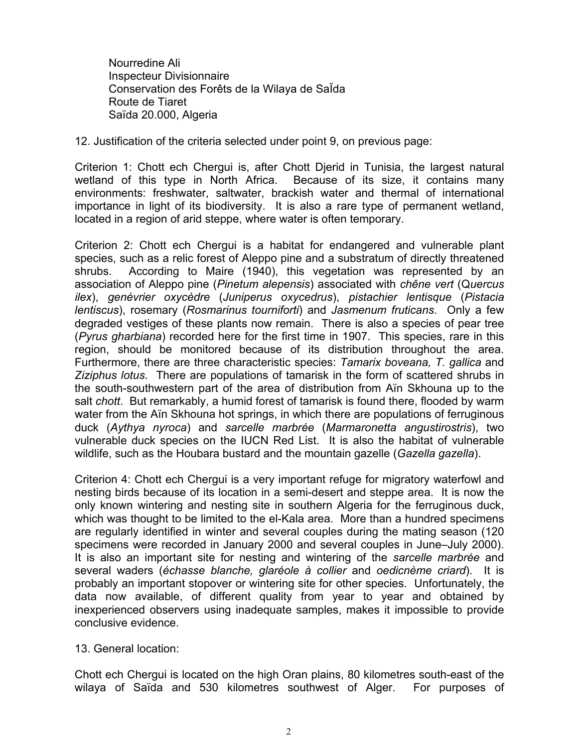Nourredine Ali Inspecteur Divisionnaire Conservation des Forêts de la Wilaya de SaÏda Route de Tiaret Saïda 20.000, Algeria

12. Justification of the criteria selected under point 9, on previous page:

Criterion 1: Chott ech Chergui is, after Chott Djerid in Tunisia, the largest natural wetland of this type in North Africa. Because of its size, it contains many environments: freshwater, saltwater, brackish water and thermal of international importance in light of its biodiversity. It is also a rare type of permanent wetland, located in a region of arid steppe, where water is often temporary.

Criterion 2: Chott ech Chergui is a habitat for endangered and vulnerable plant species, such as a relic forest of Aleppo pine and a substratum of directly threatened shrubs. According to Maire (1940), this vegetation was represented by an association of Aleppo pine (*Pinetum alepensis*) associated with *chêne vert* (Q*uercus ilex*), *genévrier oxycèdre* (*Juniperus oxycedrus*), *pistachier lentisque* (*Pistacia lentiscus*), rosemary (*Rosmarinus tourniforti*) and *Jasmenum fruticans*. Only a few degraded vestiges of these plants now remain. There is also a species of pear tree (*Pyrus gharbiana*) recorded here for the first time in 1907. This species, rare in this region, should be monitored because of its distribution throughout the area. Furthermore, there are three characteristic species: *Tamarix boveana, T. gallica* and *Ziziphus lotus*. There are populations of tamarisk in the form of scattered shrubs in the south-southwestern part of the area of distribution from Aïn Skhouna up to the salt *chott*. But remarkably, a humid forest of tamarisk is found there, flooded by warm water from the Aïn Skhouna hot springs, in which there are populations of ferruginous duck (*Aythya nyroca*) and *sarcelle marbrée* (*Marmaronetta angustirostris*), two vulnerable duck species on the IUCN Red List. It is also the habitat of vulnerable wildlife, such as the Houbara bustard and the mountain gazelle (*Gazella gazella*).

Criterion 4: Chott ech Chergui is a very important refuge for migratory waterfowl and nesting birds because of its location in a semi-desert and steppe area. It is now the only known wintering and nesting site in southern Algeria for the ferruginous duck, which was thought to be limited to the el-Kala area. More than a hundred specimens are regularly identified in winter and several couples during the mating season (120 specimens were recorded in January 2000 and several couples in June–July 2000). It is also an important site for nesting and wintering of the *sarcelle marbrée* and several waders (*échasse blanche, glaréole à collier* and *oedicnème criard*). It is probably an important stopover or wintering site for other species. Unfortunately, the data now available, of different quality from year to year and obtained by inexperienced observers using inadequate samples, makes it impossible to provide conclusive evidence.

## 13. General location:

Chott ech Chergui is located on the high Oran plains, 80 kilometres south-east of the wilaya of Saïda and 530 kilometres southwest of Alger. For purposes of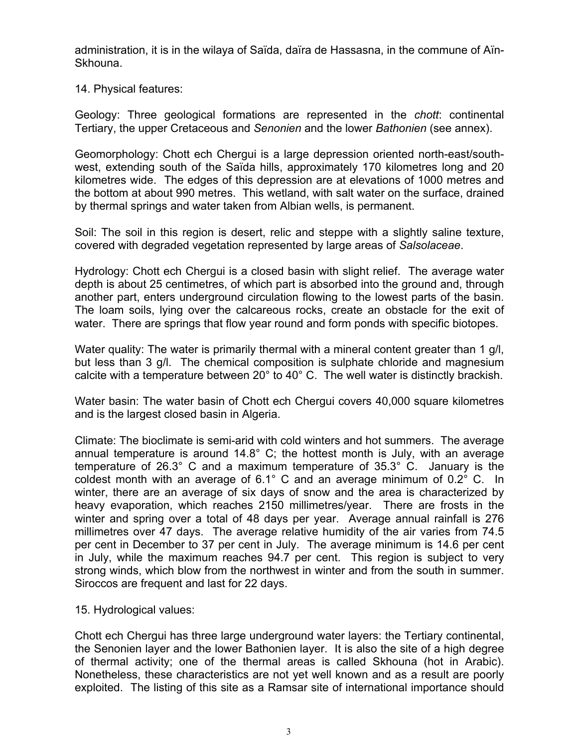administration, it is in the wilaya of Saïda, daïra de Hassasna, in the commune of Aïn-Skhouna.

14. Physical features:

Geology: Three geological formations are represented in the *chott*: continental Tertiary, the upper Cretaceous and *Senonien* and the lower *Bathonien* (see annex).

Geomorphology: Chott ech Chergui is a large depression oriented north-east/southwest, extending south of the Saïda hills, approximately 170 kilometres long and 20 kilometres wide. The edges of this depression are at elevations of 1000 metres and the bottom at about 990 metres. This wetland, with salt water on the surface, drained by thermal springs and water taken from Albian wells, is permanent.

Soil: The soil in this region is desert, relic and steppe with a slightly saline texture, covered with degraded vegetation represented by large areas of *Salsolaceae*.

Hydrology: Chott ech Chergui is a closed basin with slight relief. The average water depth is about 25 centimetres, of which part is absorbed into the ground and, through another part, enters underground circulation flowing to the lowest parts of the basin. The loam soils, lying over the calcareous rocks, create an obstacle for the exit of water. There are springs that flow year round and form ponds with specific biotopes.

Water quality: The water is primarily thermal with a mineral content greater than 1 g/l, but less than 3 g/l. The chemical composition is sulphate chloride and magnesium calcite with a temperature between 20° to 40° C. The well water is distinctly brackish.

Water basin: The water basin of Chott ech Chergui covers 40,000 square kilometres and is the largest closed basin in Algeria.

Climate: The bioclimate is semi-arid with cold winters and hot summers. The average annual temperature is around 14.8° C; the hottest month is July, with an average temperature of 26.3° C and a maximum temperature of 35.3° C. January is the coldest month with an average of 6.1° C and an average minimum of 0.2° C. In winter, there are an average of six days of snow and the area is characterized by heavy evaporation, which reaches 2150 millimetres/year. There are frosts in the winter and spring over a total of 48 days per year. Average annual rainfall is 276 millimetres over 47 days. The average relative humidity of the air varies from 74.5 per cent in December to 37 per cent in July. The average minimum is 14.6 per cent in July, while the maximum reaches 94.7 per cent. This region is subject to very strong winds, which blow from the northwest in winter and from the south in summer. Siroccos are frequent and last for 22 days.

15. Hydrological values:

Chott ech Chergui has three large underground water layers: the Tertiary continental, the Senonien layer and the lower Bathonien layer. It is also the site of a high degree of thermal activity; one of the thermal areas is called Skhouna (hot in Arabic). Nonetheless, these characteristics are not yet well known and as a result are poorly exploited. The listing of this site as a Ramsar site of international importance should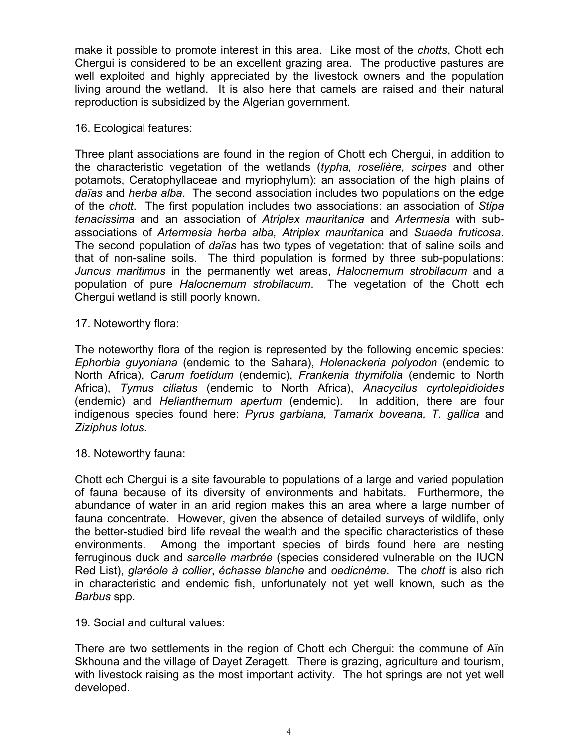make it possible to promote interest in this area. Like most of the *chotts*, Chott ech Chergui is considered to be an excellent grazing area. The productive pastures are well exploited and highly appreciated by the livestock owners and the population living around the wetland. It is also here that camels are raised and their natural reproduction is subsidized by the Algerian government.

16. Ecological features:

Three plant associations are found in the region of Chott ech Chergui, in addition to the characteristic vegetation of the wetlands (*typha, roselière, scirpes* and other potamots, Ceratophyllaceae and myriophylum): an association of the high plains of *daïas* and *herba alba*. The second association includes two populations on the edge of the *chott*. The first population includes two associations: an association of *Stipa tenacissima* and an association of *Atriplex mauritanica* and *Artermesia* with subassociations of *Artermesia herba alba, Atriplex mauritanica* and *Suaeda fruticosa*. The second population of *daïas* has two types of vegetation: that of saline soils and that of non-saline soils. The third population is formed by three sub-populations: *Juncus maritimus* in the permanently wet areas, *Halocnemum strobilacum* and a population of pure *Halocnemum strobilacum*. The vegetation of the Chott ech Chergui wetland is still poorly known.

17. Noteworthy flora:

The noteworthy flora of the region is represented by the following endemic species: *Ephorbia guyoniana* (endemic to the Sahara), *Holenackeria polyodon* (endemic to North Africa), *Carum foetidum* (endemic), *Frankenia thymifolia* (endemic to North Africa), *Tymus ciliatus* (endemic to North Africa), *Anacycilus cyrtolepidioides* (endemic) and *Helianthemum apertum* (endemic). In addition, there are four indigenous species found here: *Pyrus garbiana, Tamarix boveana, T. gallica* and *Ziziphus lotus*.

18. Noteworthy fauna:

Chott ech Chergui is a site favourable to populations of a large and varied population of fauna because of its diversity of environments and habitats. Furthermore, the abundance of water in an arid region makes this an area where a large number of fauna concentrate. However, given the absence of detailed surveys of wildlife, only the better-studied bird life reveal the wealth and the specific characteristics of these environments. Among the important species of birds found here are nesting ferruginous duck and *sarcelle marbrée* (species considered vulnerable on the IUCN Red List), *glaréole à collier*, *échasse blanche* and *oedicnème*. The *chott* is also rich in characteristic and endemic fish, unfortunately not yet well known, such as the *Barbus* spp.

19. Social and cultural values:

There are two settlements in the region of Chott ech Chergui: the commune of Aïn Skhouna and the village of Dayet Zeragett. There is grazing, agriculture and tourism, with livestock raising as the most important activity. The hot springs are not yet well developed.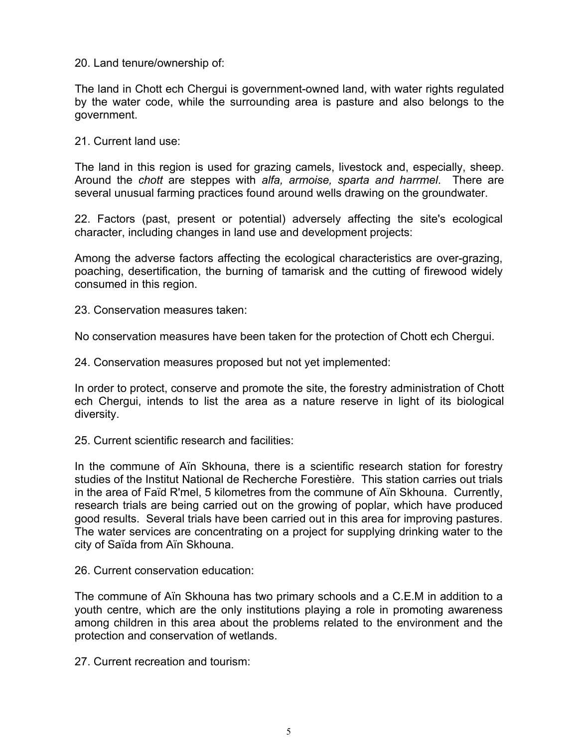20. Land tenure/ownership of:

The land in Chott ech Chergui is government-owned land, with water rights regulated by the water code, while the surrounding area is pasture and also belongs to the government.

21. Current land use:

The land in this region is used for grazing camels, livestock and, especially, sheep. Around the *chott* are steppes with *alfa, armoise, sparta and harrmel*. There are several unusual farming practices found around wells drawing on the groundwater.

22. Factors (past, present or potential) adversely affecting the site's ecological character, including changes in land use and development projects:

Among the adverse factors affecting the ecological characteristics are over-grazing, poaching, desertification, the burning of tamarisk and the cutting of firewood widely consumed in this region.

23. Conservation measures taken:

No conservation measures have been taken for the protection of Chott ech Chergui.

24. Conservation measures proposed but not yet implemented:

In order to protect, conserve and promote the site, the forestry administration of Chott ech Chergui, intends to list the area as a nature reserve in light of its biological diversity.

25. Current scientific research and facilities:

In the commune of Aïn Skhouna, there is a scientific research station for forestry studies of the Institut National de Recherche Forestière. This station carries out trials in the area of Faïd R'mel, 5 kilometres from the commune of Aïn Skhouna. Currently, research trials are being carried out on the growing of poplar, which have produced good results. Several trials have been carried out in this area for improving pastures. The water services are concentrating on a project for supplying drinking water to the city of Saïda from Aïn Skhouna.

26. Current conservation education:

The commune of Aïn Skhouna has two primary schools and a C.E.M in addition to a youth centre, which are the only institutions playing a role in promoting awareness among children in this area about the problems related to the environment and the protection and conservation of wetlands.

27. Current recreation and tourism: